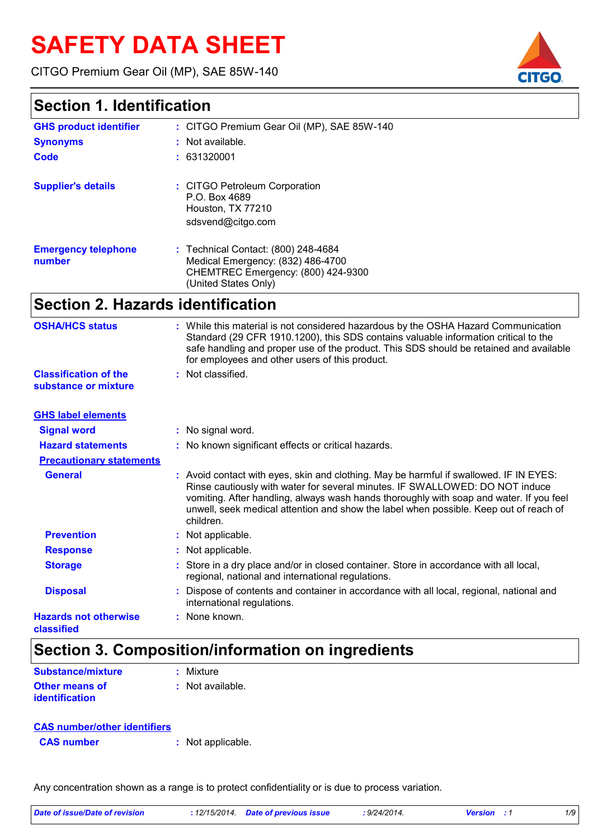# **SAFETY DATA SHEET**

CITGO Premium Gear Oil (MP), SAE 85W-140

### **Section 1. Identification**

| <b>GHS product identifier</b><br><b>Synonyms</b><br>Code | : CITGO Premium Gear Oil (MP), SAE 85W-140<br>: Not available.<br>: 631320001                                                          |
|----------------------------------------------------------|----------------------------------------------------------------------------------------------------------------------------------------|
| <b>Supplier's details</b>                                | : CITGO Petroleum Corporation<br>P.O. Box 4689<br>Houston, TX 77210<br>sdsvend@citgo.com                                               |
| <b>Emergency telephone</b><br>number                     | : Technical Contact: (800) 248-4684<br>Medical Emergency: (832) 486-4700<br>CHEMTREC Emergency: (800) 424-9300<br>(United States Only) |

# **Section 2. Hazards identification**

| <b>OSHA/HCS status</b>                               | : While this material is not considered hazardous by the OSHA Hazard Communication<br>Standard (29 CFR 1910.1200), this SDS contains valuable information critical to the<br>safe handling and proper use of the product. This SDS should be retained and available<br>for employees and other users of this product.                                                   |
|------------------------------------------------------|-------------------------------------------------------------------------------------------------------------------------------------------------------------------------------------------------------------------------------------------------------------------------------------------------------------------------------------------------------------------------|
| <b>Classification of the</b><br>substance or mixture | : Not classified.                                                                                                                                                                                                                                                                                                                                                       |
| <b>GHS label elements</b>                            |                                                                                                                                                                                                                                                                                                                                                                         |
| <b>Signal word</b>                                   | : No signal word.                                                                                                                                                                                                                                                                                                                                                       |
| <b>Hazard statements</b>                             | : No known significant effects or critical hazards.                                                                                                                                                                                                                                                                                                                     |
| <b>Precautionary statements</b>                      |                                                                                                                                                                                                                                                                                                                                                                         |
| <b>General</b>                                       | : Avoid contact with eyes, skin and clothing. May be harmful if swallowed. IF IN EYES:<br>Rinse cautiously with water for several minutes. IF SWALLOWED: DO NOT induce<br>vomiting. After handling, always wash hands thoroughly with soap and water. If you feel<br>unwell, seek medical attention and show the label when possible. Keep out of reach of<br>children. |
| <b>Prevention</b>                                    | : Not applicable.                                                                                                                                                                                                                                                                                                                                                       |
| <b>Response</b>                                      | : Not applicable.                                                                                                                                                                                                                                                                                                                                                       |
| <b>Storage</b>                                       | Store in a dry place and/or in closed container. Store in accordance with all local,<br>regional, national and international regulations.                                                                                                                                                                                                                               |
| <b>Disposal</b>                                      | Dispose of contents and container in accordance with all local, regional, national and<br>international regulations.                                                                                                                                                                                                                                                    |
| <b>Hazards not otherwise</b><br>classified           | : None known.                                                                                                                                                                                                                                                                                                                                                           |

# **Section 3. Composition/information on ingredients**

| <b>Substance/mixture</b>                | : Mixture        |
|-----------------------------------------|------------------|
| <b>Other means of</b><br>identification | : Not available. |

| <b>CAS number/other identifiers</b> |                   |
|-------------------------------------|-------------------|
| <b>CAS</b> number                   | : Not applicable. |

Any concentration shown as a range is to protect confidentiality or is due to process variation.

| <b>CAS NUMBER</b> | : inot applicable. |  |
|-------------------|--------------------|--|
|                   |                    |  |
|                   |                    |  |
|                   |                    |  |
|                   |                    |  |

| Date of issue/Date of revision | : 12/15/2014 Date of previous issue | : 9/24/2014. | <b>Version</b> : 1 |  |
|--------------------------------|-------------------------------------|--------------|--------------------|--|
|                                |                                     |              |                    |  |

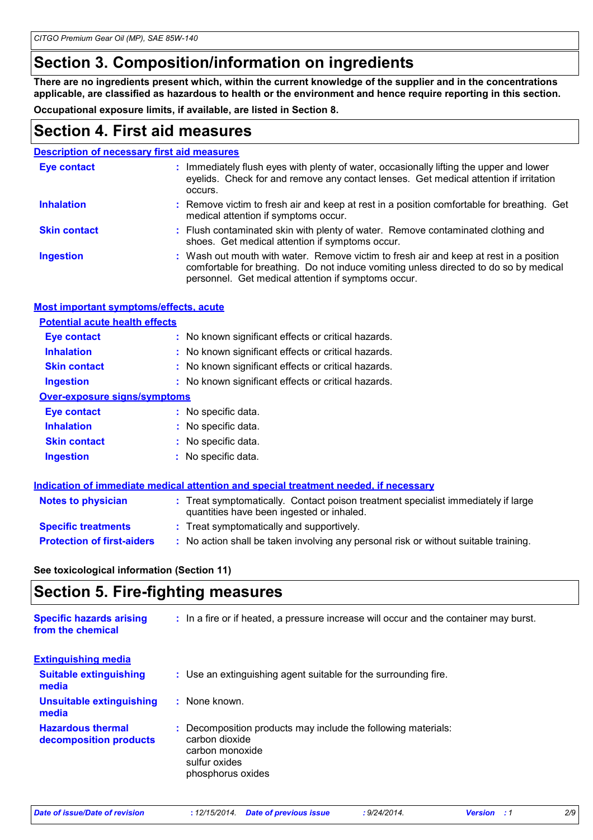### **Section 3. Composition/information on ingredients**

**There are no ingredients present which, within the current knowledge of the supplier and in the concentrations applicable, are classified as hazardous to health or the environment and hence require reporting in this section.**

**Occupational exposure limits, if available, are listed in Section 8.**

#### **Section 4. First aid measures**

| <b>Description of necessary first aid measures</b> |                                                                                                                                                                                                                                        |
|----------------------------------------------------|----------------------------------------------------------------------------------------------------------------------------------------------------------------------------------------------------------------------------------------|
| <b>Eye contact</b>                                 | : Immediately flush eyes with plenty of water, occasionally lifting the upper and lower<br>eyelids. Check for and remove any contact lenses. Get medical attention if irritation<br>occurs.                                            |
| <b>Inhalation</b>                                  | : Remove victim to fresh air and keep at rest in a position comfortable for breathing. Get<br>medical attention if symptoms occur.                                                                                                     |
| <b>Skin contact</b>                                | : Flush contaminated skin with plenty of water. Remove contaminated clothing and<br>shoes. Get medical attention if symptoms occur.                                                                                                    |
| <b>Ingestion</b>                                   | : Wash out mouth with water. Remove victim to fresh air and keep at rest in a position<br>comfortable for breathing. Do not induce vomiting unless directed to do so by medical<br>personnel. Get medical attention if symptoms occur. |

#### **Most important symptoms/effects, acute**

#### **Potential acute health effects**

| <b>Eye contact</b>                  | : No known significant effects or critical hazards. |
|-------------------------------------|-----------------------------------------------------|
| <b>Inhalation</b>                   | : No known significant effects or critical hazards. |
| <b>Skin contact</b>                 | : No known significant effects or critical hazards. |
| <b>Ingestion</b>                    | : No known significant effects or critical hazards. |
| <b>Over-exposure signs/symptoms</b> |                                                     |
| <b>Eye contact</b>                  | : No specific data.                                 |
| <b>Inhalation</b>                   | : No specific data.                                 |
| <b>Skin contact</b>                 | : No specific data.                                 |
| <b>Ingestion</b>                    | : No specific data.                                 |

|                                   | Indication of immediate medical attention and special treatment needed, if necessary                                           |
|-----------------------------------|--------------------------------------------------------------------------------------------------------------------------------|
| <b>Notes to physician</b>         | : Treat symptomatically. Contact poison treatment specialist immediately if large<br>quantities have been ingested or inhaled. |
| <b>Specific treatments</b>        | : Treat symptomatically and supportively.                                                                                      |
| <b>Protection of first-aiders</b> | : No action shall be taken involving any personal risk or without suitable training.                                           |

**See toxicological information (Section 11)**

# **Section 5. Fire-fighting measures**

| <b>Specific hazards arising</b><br>from the chemical | : In a fire or if heated, a pressure increase will occur and the container may burst.                                                    |
|------------------------------------------------------|------------------------------------------------------------------------------------------------------------------------------------------|
| <b>Extinguishing media</b>                           |                                                                                                                                          |
| <b>Suitable extinguishing</b><br>media               | : Use an extinguishing agent suitable for the surrounding fire.                                                                          |
| <b>Unsuitable extinguishing</b><br>media             | : None known.                                                                                                                            |
| <b>Hazardous thermal</b><br>decomposition products   | : Decomposition products may include the following materials:<br>carbon dioxide<br>carbon monoxide<br>sulfur oxides<br>phosphorus oxides |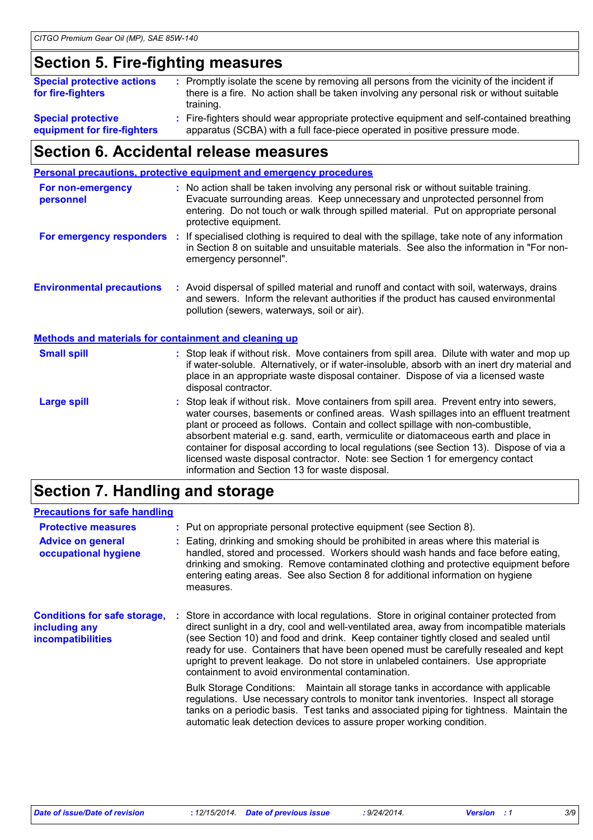## **Section 5. Fire-fighting measures**

| <b>Special protective actions</b><br>for fire-fighters   | : Promptly isolate the scene by removing all persons from the vicinity of the incident if<br>there is a fire. No action shall be taken involving any personal risk or without suitable<br>training. |
|----------------------------------------------------------|-----------------------------------------------------------------------------------------------------------------------------------------------------------------------------------------------------|
| <b>Special protective</b><br>equipment for fire-fighters | : Fire-fighters should wear appropriate protective equipment and self-contained breathing<br>apparatus (SCBA) with a full face-piece operated in positive pressure mode.                            |

### **Section 6. Accidental release measures**

|                                                       | <b>Personal precautions, protective equipment and emergency procedures</b>                                                                                                                                                                                                                                                                                                                                                                                                                                                                                                                 |
|-------------------------------------------------------|--------------------------------------------------------------------------------------------------------------------------------------------------------------------------------------------------------------------------------------------------------------------------------------------------------------------------------------------------------------------------------------------------------------------------------------------------------------------------------------------------------------------------------------------------------------------------------------------|
| For non-emergency<br>personnel                        | : No action shall be taken involving any personal risk or without suitable training.<br>Evacuate surrounding areas. Keep unnecessary and unprotected personnel from<br>entering. Do not touch or walk through spilled material. Put on appropriate personal<br>protective equipment.                                                                                                                                                                                                                                                                                                       |
| For emergency responders                              | : If specialised clothing is required to deal with the spillage, take note of any information<br>in Section 8 on suitable and unsuitable materials. See also the information in "For non-<br>emergency personnel".                                                                                                                                                                                                                                                                                                                                                                         |
| <b>Environmental precautions</b>                      | : Avoid dispersal of spilled material and runoff and contact with soil, waterways, drains<br>and sewers. Inform the relevant authorities if the product has caused environmental<br>pollution (sewers, waterways, soil or air).                                                                                                                                                                                                                                                                                                                                                            |
| Methods and materials for containment and cleaning up |                                                                                                                                                                                                                                                                                                                                                                                                                                                                                                                                                                                            |
| <b>Small spill</b>                                    | : Stop leak if without risk. Move containers from spill area. Dilute with water and mop up<br>if water-soluble. Alternatively, or if water-insoluble, absorb with an inert dry material and<br>place in an appropriate waste disposal container. Dispose of via a licensed waste<br>disposal contractor.                                                                                                                                                                                                                                                                                   |
| <b>Large spill</b>                                    | : Stop leak if without risk. Move containers from spill area. Prevent entry into sewers,<br>water courses, basements or confined areas. Wash spillages into an effluent treatment<br>plant or proceed as follows. Contain and collect spillage with non-combustible,<br>absorbent material e.g. sand, earth, vermiculite or diatomaceous earth and place in<br>container for disposal according to local regulations (see Section 13). Dispose of via a<br>licensed waste disposal contractor. Note: see Section 1 for emergency contact<br>information and Section 13 for waste disposal. |

# **Section 7. Handling and storage**

#### **Precautions for safe handling**

| <b>Protective measures</b>                                                       | : Put on appropriate personal protective equipment (see Section 8).                                                                                                                                                                                                                                                                                                                                                                                                                                         |
|----------------------------------------------------------------------------------|-------------------------------------------------------------------------------------------------------------------------------------------------------------------------------------------------------------------------------------------------------------------------------------------------------------------------------------------------------------------------------------------------------------------------------------------------------------------------------------------------------------|
| <b>Advice on general</b><br>occupational hygiene                                 | Eating, drinking and smoking should be prohibited in areas where this material is<br>handled, stored and processed. Workers should wash hands and face before eating,<br>drinking and smoking. Remove contaminated clothing and protective equipment before<br>entering eating areas. See also Section 8 for additional information on hygiene<br>measures.                                                                                                                                                 |
| <b>Conditions for safe storage,</b><br>including any<br><b>incompatibilities</b> | Store in accordance with local regulations. Store in original container protected from<br>direct sunlight in a dry, cool and well-ventilated area, away from incompatible materials<br>(see Section 10) and food and drink. Keep container tightly closed and sealed until<br>ready for use. Containers that have been opened must be carefully resealed and kept<br>upright to prevent leakage. Do not store in unlabeled containers. Use appropriate<br>containment to avoid environmental contamination. |
|                                                                                  | Bulk Storage Conditions: Maintain all storage tanks in accordance with applicable<br>regulations. Use necessary controls to monitor tank inventories. Inspect all storage<br>tanks on a periodic basis. Test tanks and associated piping for tightness. Maintain the<br>automatic leak detection devices to assure proper working condition.                                                                                                                                                                |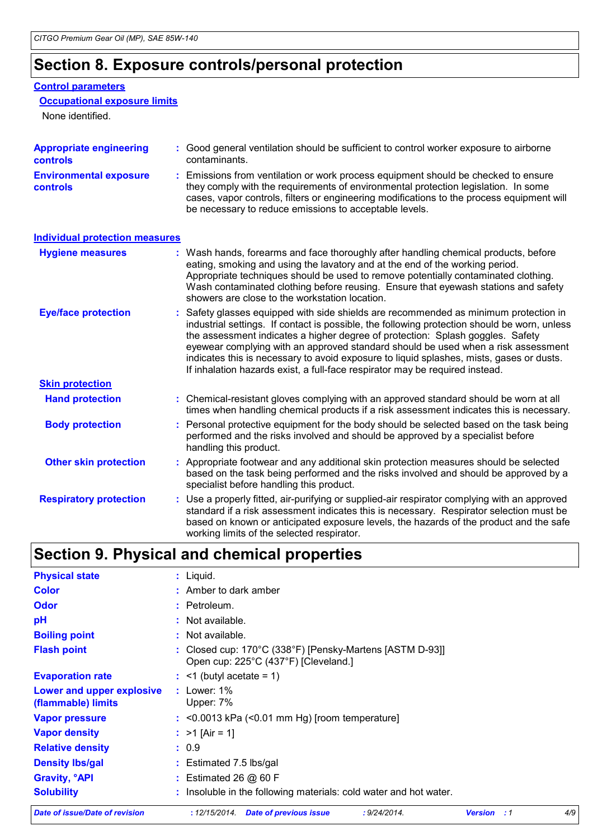## **Section 8. Exposure controls/personal protection**

#### **Control parameters**

#### **Occupational exposure limits**

None identified.

| <b>Appropriate engineering</b><br><b>controls</b> | : Good general ventilation should be sufficient to control worker exposure to airborne<br>contaminants.                                                                                                                                                                                                                                                                                                                                                                                                                                 |  |  |  |
|---------------------------------------------------|-----------------------------------------------------------------------------------------------------------------------------------------------------------------------------------------------------------------------------------------------------------------------------------------------------------------------------------------------------------------------------------------------------------------------------------------------------------------------------------------------------------------------------------------|--|--|--|
| <b>Environmental exposure</b><br><b>controls</b>  | : Emissions from ventilation or work process equipment should be checked to ensure<br>they comply with the requirements of environmental protection legislation. In some<br>cases, vapor controls, filters or engineering modifications to the process equipment will<br>be necessary to reduce emissions to acceptable levels.                                                                                                                                                                                                         |  |  |  |
| <b>Individual protection measures</b>             |                                                                                                                                                                                                                                                                                                                                                                                                                                                                                                                                         |  |  |  |
| <b>Hygiene measures</b>                           | : Wash hands, forearms and face thoroughly after handling chemical products, before<br>eating, smoking and using the lavatory and at the end of the working period.<br>Appropriate techniques should be used to remove potentially contaminated clothing.<br>Wash contaminated clothing before reusing. Ensure that eyewash stations and safety<br>showers are close to the workstation location.                                                                                                                                       |  |  |  |
| <b>Eye/face protection</b>                        | : Safety glasses equipped with side shields are recommended as minimum protection in<br>industrial settings. If contact is possible, the following protection should be worn, unless<br>the assessment indicates a higher degree of protection: Splash goggles. Safety<br>eyewear complying with an approved standard should be used when a risk assessment<br>indicates this is necessary to avoid exposure to liquid splashes, mists, gases or dusts.<br>If inhalation hazards exist, a full-face respirator may be required instead. |  |  |  |
| <b>Skin protection</b>                            |                                                                                                                                                                                                                                                                                                                                                                                                                                                                                                                                         |  |  |  |
| <b>Hand protection</b>                            | : Chemical-resistant gloves complying with an approved standard should be worn at all<br>times when handling chemical products if a risk assessment indicates this is necessary.                                                                                                                                                                                                                                                                                                                                                        |  |  |  |
| <b>Body protection</b>                            | : Personal protective equipment for the body should be selected based on the task being<br>performed and the risks involved and should be approved by a specialist before<br>handling this product.                                                                                                                                                                                                                                                                                                                                     |  |  |  |

|  | <b>Other skin protection</b> | : Appropriate footwear and any additional skin protection measures should be selected<br>based on the task being performed and the risks involved and should be approved by a<br>specialist before handling this product. |
|--|------------------------------|---------------------------------------------------------------------------------------------------------------------------------------------------------------------------------------------------------------------------|
|--|------------------------------|---------------------------------------------------------------------------------------------------------------------------------------------------------------------------------------------------------------------------|

| <b>Respiratory protection</b> | : Use a properly fitted, air-purifying or supplied-air respirator complying with an approved |
|-------------------------------|----------------------------------------------------------------------------------------------|
|                               | standard if a risk assessment indicates this is necessary. Respirator selection must be      |
|                               | based on known or anticipated exposure levels, the hazards of the product and the safe       |
|                               | working limits of the selected respirator.                                                   |

# **Section 9. Physical and chemical properties**

| Date of issue/Date of revision                  | : 12/15/2014.<br><b>Date of previous issue</b><br>: 9/24/2014.                                                        | <b>Version</b> : 1 |  | 4/9 |  |
|-------------------------------------------------|-----------------------------------------------------------------------------------------------------------------------|--------------------|--|-----|--|
| <b>Solubility</b>                               | : Insoluble in the following materials: cold water and hot water.                                                     |                    |  |     |  |
| <b>Gravity, <sup>o</sup>API</b>                 | : Estimated 26 $@$ 60 F                                                                                               |                    |  |     |  |
| <b>Density Ibs/gal</b>                          | $:$ Estimated 7.5 lbs/gal                                                                                             |                    |  |     |  |
| <b>Relative density</b>                         | : 0.9                                                                                                                 |                    |  |     |  |
| <b>Vapor density</b>                            | : $>1$ [Air = 1]                                                                                                      |                    |  |     |  |
| <b>Vapor pressure</b>                           | $:$ <0.0013 kPa (<0.01 mm Hg) [room temperature]                                                                      |                    |  |     |  |
| Lower and upper explosive<br>(flammable) limits | $:$ Lower: 1%<br>Upper: 7%                                                                                            |                    |  |     |  |
| <b>Evaporation rate</b>                         | $:$ <1 (butyl acetate = 1)                                                                                            |                    |  |     |  |
| <b>Flash point</b>                              | : Closed cup: $170^{\circ}$ C (338 $^{\circ}$ F) [Pensky-Martens [ASTM D-93]]<br>Open cup: 225°C (437°F) [Cleveland.] |                    |  |     |  |
| <b>Boiling point</b>                            | : Not available.                                                                                                      |                    |  |     |  |
| рH                                              | : Not available.                                                                                                      |                    |  |     |  |
| <b>Odor</b>                                     | $:$ Petroleum.                                                                                                        |                    |  |     |  |
| <b>Color</b>                                    | : Amber to dark amber                                                                                                 |                    |  |     |  |
| <b>Physical state</b>                           | : Liquid.                                                                                                             |                    |  |     |  |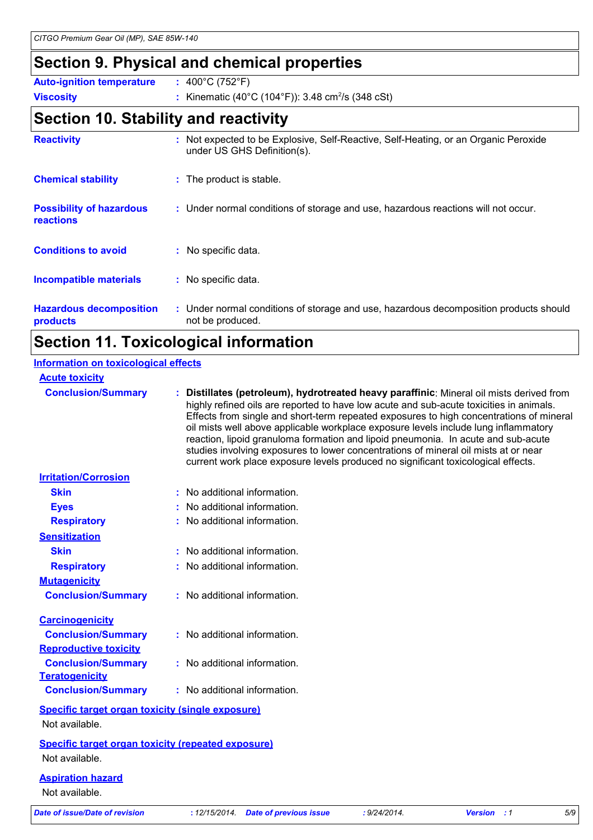## **Section 9. Physical and chemical properties**

| <b>Auto-ignition temperature</b> | : $400^{\circ}$ C (752 $^{\circ}$ F)                          |
|----------------------------------|---------------------------------------------------------------|
| <b>Viscosity</b>                 | : Kinematic (40°C (104°F)): 3.48 cm <sup>2</sup> /s (348 cSt) |

## **Section 10. Stability and reactivity**

| <b>Reactivity</b>                                   | : Not expected to be Explosive, Self-Reactive, Self-Heating, or an Organic Peroxide<br>under US GHS Definition(s). |
|-----------------------------------------------------|--------------------------------------------------------------------------------------------------------------------|
| <b>Chemical stability</b>                           | : The product is stable.                                                                                           |
| <b>Possibility of hazardous</b><br><b>reactions</b> | : Under normal conditions of storage and use, hazardous reactions will not occur.                                  |
| <b>Conditions to avoid</b>                          | : No specific data.                                                                                                |
| Incompatible materials                              | : No specific data.                                                                                                |
| <b>Hazardous decomposition</b><br>products          | : Under normal conditions of storage and use, hazardous decomposition products should<br>not be produced.          |

### **Section 11. Toxicological information**

| <b>Information on toxicological effects</b>                                 |                                                                                                                                                                                                                                                                                                                                                                                                                                                                                                                                                                                                                                      |
|-----------------------------------------------------------------------------|--------------------------------------------------------------------------------------------------------------------------------------------------------------------------------------------------------------------------------------------------------------------------------------------------------------------------------------------------------------------------------------------------------------------------------------------------------------------------------------------------------------------------------------------------------------------------------------------------------------------------------------|
| <b>Acute toxicity</b>                                                       |                                                                                                                                                                                                                                                                                                                                                                                                                                                                                                                                                                                                                                      |
| <b>Conclusion/Summary</b>                                                   | Distillates (petroleum), hydrotreated heavy paraffinic: Mineral oil mists derived from<br>highly refined oils are reported to have low acute and sub-acute toxicities in animals.<br>Effects from single and short-term repeated exposures to high concentrations of mineral<br>oil mists well above applicable workplace exposure levels include lung inflammatory<br>reaction, lipoid granuloma formation and lipoid pneumonia. In acute and sub-acute<br>studies involving exposures to lower concentrations of mineral oil mists at or near<br>current work place exposure levels produced no significant toxicological effects. |
| <b>Irritation/Corrosion</b>                                                 |                                                                                                                                                                                                                                                                                                                                                                                                                                                                                                                                                                                                                                      |
| <b>Skin</b>                                                                 | : No additional information.                                                                                                                                                                                                                                                                                                                                                                                                                                                                                                                                                                                                         |
| <b>Eyes</b>                                                                 | : No additional information.                                                                                                                                                                                                                                                                                                                                                                                                                                                                                                                                                                                                         |
| <b>Respiratory</b>                                                          | : No additional information.                                                                                                                                                                                                                                                                                                                                                                                                                                                                                                                                                                                                         |
| <b>Sensitization</b>                                                        |                                                                                                                                                                                                                                                                                                                                                                                                                                                                                                                                                                                                                                      |
| <b>Skin</b>                                                                 | : No additional information.                                                                                                                                                                                                                                                                                                                                                                                                                                                                                                                                                                                                         |
| <b>Respiratory</b>                                                          | : No additional information.                                                                                                                                                                                                                                                                                                                                                                                                                                                                                                                                                                                                         |
| <b>Mutagenicity</b>                                                         |                                                                                                                                                                                                                                                                                                                                                                                                                                                                                                                                                                                                                                      |
| <b>Conclusion/Summary</b>                                                   | : No additional information.                                                                                                                                                                                                                                                                                                                                                                                                                                                                                                                                                                                                         |
| <b>Carcinogenicity</b>                                                      |                                                                                                                                                                                                                                                                                                                                                                                                                                                                                                                                                                                                                                      |
| <b>Conclusion/Summary</b>                                                   | : No additional information.                                                                                                                                                                                                                                                                                                                                                                                                                                                                                                                                                                                                         |
| <b>Reproductive toxicity</b>                                                |                                                                                                                                                                                                                                                                                                                                                                                                                                                                                                                                                                                                                                      |
| <b>Conclusion/Summary</b><br><b>Teratogenicity</b>                          | : No additional information.                                                                                                                                                                                                                                                                                                                                                                                                                                                                                                                                                                                                         |
| <b>Conclusion/Summary</b>                                                   | : No additional information.                                                                                                                                                                                                                                                                                                                                                                                                                                                                                                                                                                                                         |
| <b>Specific target organ toxicity (single exposure)</b>                     |                                                                                                                                                                                                                                                                                                                                                                                                                                                                                                                                                                                                                                      |
| Not available.                                                              |                                                                                                                                                                                                                                                                                                                                                                                                                                                                                                                                                                                                                                      |
| <b>Specific target organ toxicity (repeated exposure)</b><br>Not available. |                                                                                                                                                                                                                                                                                                                                                                                                                                                                                                                                                                                                                                      |
| <b>Aspiration hazard</b><br>Not available.                                  |                                                                                                                                                                                                                                                                                                                                                                                                                                                                                                                                                                                                                                      |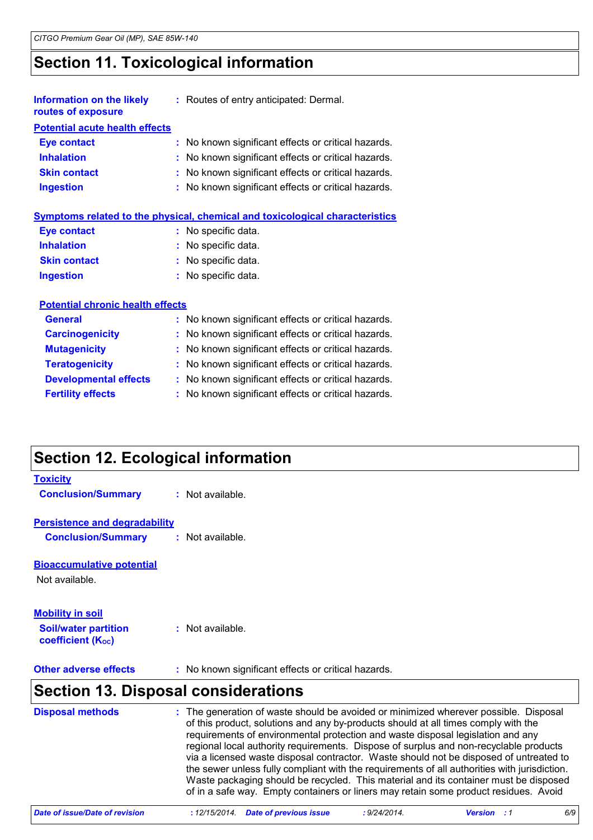## **Section 11. Toxicological information**

| <b>Information on the likely</b><br>routes of exposure | : Routes of entry anticipated: Dermal.              |
|--------------------------------------------------------|-----------------------------------------------------|
| <b>Potential acute health effects</b>                  |                                                     |
| <b>Eye contact</b>                                     | : No known significant effects or critical hazards. |
| <b>Inhalation</b>                                      | : No known significant effects or critical hazards. |
| <b>Skin contact</b>                                    | : No known significant effects or critical hazards. |
| <b>Ingestion</b>                                       | : No known significant effects or critical hazards. |

| Symptoms related to the physical, chemical and toxicological characteristics |
|------------------------------------------------------------------------------|
|------------------------------------------------------------------------------|

| Eye contact         | : No specific data. |
|---------------------|---------------------|
| <b>Inhalation</b>   | : No specific data. |
| <b>Skin contact</b> | : No specific data. |
| Ingestion           | : No specific data. |

#### **Potential chronic health effects**

| : No known significant effects or critical hazards. |
|-----------------------------------------------------|
| : No known significant effects or critical hazards. |
| : No known significant effects or critical hazards. |
| : No known significant effects or critical hazards. |
| : No known significant effects or critical hazards. |
| : No known significant effects or critical hazards. |
|                                                     |

# **Section 12. Ecological information**

| <b>Toxicity</b><br><b>Conclusion/Summary</b>                                       | : Not available.                                    |  |  |
|------------------------------------------------------------------------------------|-----------------------------------------------------|--|--|
| <b>Persistence and degradability</b><br><b>Conclusion/Summary</b>                  | : Not available.                                    |  |  |
| <b>Bioaccumulative potential</b><br>Not available.                                 |                                                     |  |  |
| <b>Mobility in soil</b><br><b>Soil/water partition</b><br><b>coefficient (Koc)</b> | : Not available.                                    |  |  |
| <b>Other adverse effects</b>                                                       | : No known significant effects or critical hazards. |  |  |
| <b>Section 13. Disposal considerations</b>                                         |                                                     |  |  |

| <b>Disposal methods</b> | : The generation of waste should be avoided or minimized wherever possible. Disposal<br>of this product, solutions and any by-products should at all times comply with the<br>requirements of environmental protection and waste disposal legislation and any<br>regional local authority requirements. Dispose of surplus and non-recyclable products<br>via a licensed waste disposal contractor. Waste should not be disposed of untreated to<br>the sewer unless fully compliant with the requirements of all authorities with jurisdiction.<br>Waste packaging should be recycled. This material and its container must be disposed<br>of in a safe way. Empty containers or liners may retain some product residues. Avoid |
|-------------------------|----------------------------------------------------------------------------------------------------------------------------------------------------------------------------------------------------------------------------------------------------------------------------------------------------------------------------------------------------------------------------------------------------------------------------------------------------------------------------------------------------------------------------------------------------------------------------------------------------------------------------------------------------------------------------------------------------------------------------------|
|-------------------------|----------------------------------------------------------------------------------------------------------------------------------------------------------------------------------------------------------------------------------------------------------------------------------------------------------------------------------------------------------------------------------------------------------------------------------------------------------------------------------------------------------------------------------------------------------------------------------------------------------------------------------------------------------------------------------------------------------------------------------|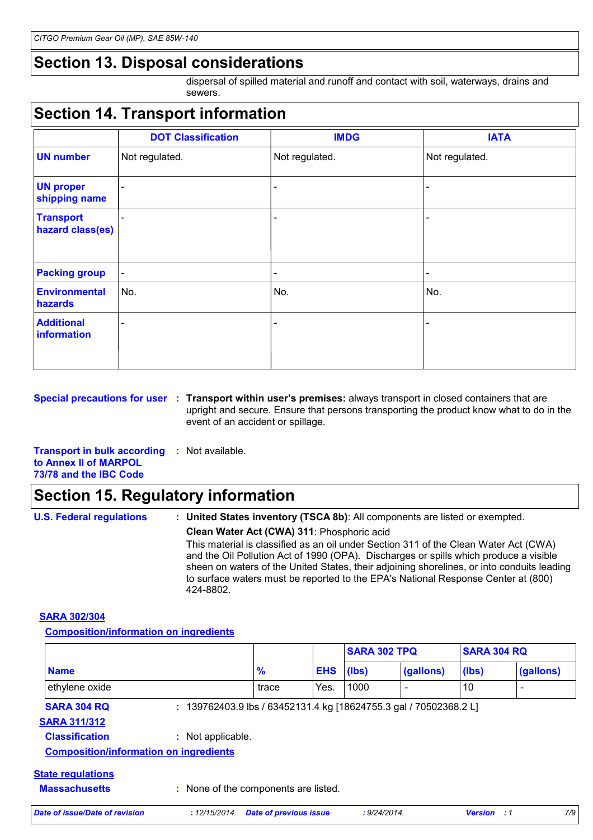### **Section 13. Disposal considerations**

dispersal of spilled material and runoff and contact with soil, waterways, drains and sewers.

# **Section 14. Transport information**

|                                      | <b>DOT Classification</b> | <b>IMDG</b>              | <b>IATA</b>                  |
|--------------------------------------|---------------------------|--------------------------|------------------------------|
| <b>UN number</b>                     | Not regulated.            | Not regulated.           | Not regulated.               |
| <b>UN proper</b><br>shipping name    | $\blacksquare$            | $\blacksquare$           | $\qquad \qquad \blacksquare$ |
| <b>Transport</b><br>hazard class(es) | $\overline{\phantom{a}}$  | $\overline{\phantom{a}}$ | -                            |
| <b>Packing group</b>                 | $\overline{\phantom{a}}$  | $\overline{\phantom{a}}$ | -                            |
| <b>Environmental</b><br>hazards      | No.                       | No.                      | No.                          |
| <b>Additional</b><br>information     | $\overline{\phantom{a}}$  | $\overline{\phantom{a}}$ | -                            |

**Special precautions for user Transport within user's premises:** always transport in closed containers that are **:** upright and secure. Ensure that persons transporting the product know what to do in the event of an accident or spillage.

**Transport in bulk according :** Not available. **to Annex II of MARPOL 73/78 and the IBC Code**

### **Section 15. Regulatory information**

| <b>U.S. Federal regulations</b> | : United States inventory (TSCA 8b): All components are listed or exempted.                                                                                                                                                                                                                                                                                                   |
|---------------------------------|-------------------------------------------------------------------------------------------------------------------------------------------------------------------------------------------------------------------------------------------------------------------------------------------------------------------------------------------------------------------------------|
|                                 | Clean Water Act (CWA) 311: Phosphoric acid                                                                                                                                                                                                                                                                                                                                    |
|                                 | This material is classified as an oil under Section 311 of the Clean Water Act (CWA)<br>and the Oil Pollution Act of 1990 (OPA). Discharges or spills which produce a visible<br>sheen on waters of the United States, their adjoining shorelines, or into conduits leading<br>to surface waters must be reported to the EPA's National Response Center at (800)<br>424-8802. |

#### **SARA 302/304**

**Composition/information on ingredients**

|                                               |                                                                   |                               |            | <b>SARA 302 TPQ</b> |           | <b>SARA 304 RQ</b> |           |
|-----------------------------------------------|-------------------------------------------------------------------|-------------------------------|------------|---------------------|-----------|--------------------|-----------|
| <b>Name</b>                                   |                                                                   | $\frac{9}{6}$                 | <b>EHS</b> | (Ibs)               | (gallons) | (lbs)              | (gallons) |
| ethylene oxide                                |                                                                   | trace                         | Yes.       | 1000                |           | 10                 |           |
| <b>SARA 304 RQ</b>                            | : 139762403.9 lbs / 63452131.4 kg [18624755.3 gal / 70502368.2 L] |                               |            |                     |           |                    |           |
| <b>SARA 311/312</b>                           |                                                                   |                               |            |                     |           |                    |           |
| <b>Classification</b>                         | : Not applicable.                                                 |                               |            |                     |           |                    |           |
| <b>Composition/information on ingredients</b> |                                                                   |                               |            |                     |           |                    |           |
| <b>State regulations</b>                      |                                                                   |                               |            |                     |           |                    |           |
| <b>Massachusetts</b>                          | : None of the components are listed.                              |                               |            |                     |           |                    |           |
| Date of issue/Date of revision                | : 12/15/2014.                                                     | <b>Date of previous issue</b> |            | : 9/24/2014.        |           | <b>Version</b> : 1 | 7/9       |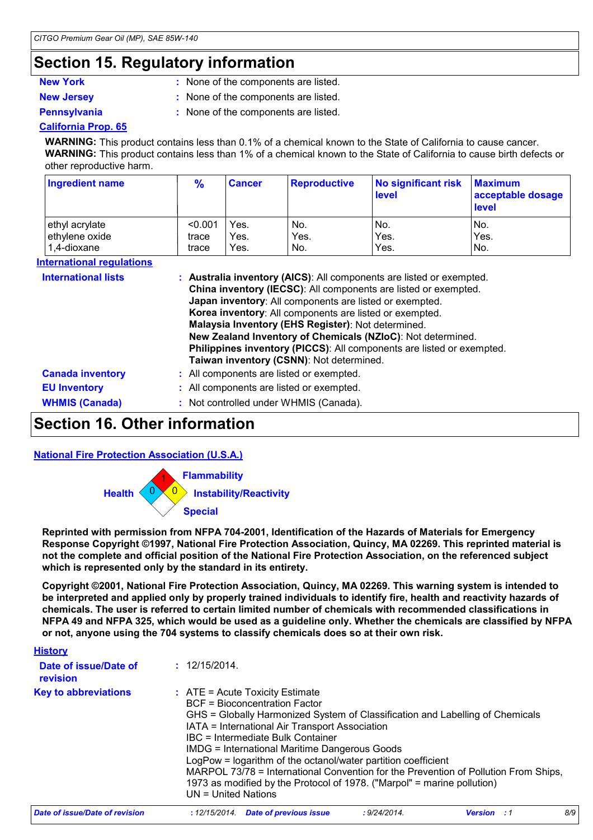#### **Section 15. Regulatory information**

- 
- 
- **New York :** None of the components are listed.
- **New Jersey :** None of the components are listed.
- 
- 
- 
- **Pennsylvania :** None of the components are listed.

#### **California Prop. 65**

**WARNING:** This product contains less than 0.1% of a chemical known to the State of California to cause cancer. **WARNING:** This product contains less than 1% of a chemical known to the State of California to cause birth defects or other reproductive harm.

| <b>Ingredient name</b>           | $\frac{9}{6}$ | <b>Cancer</b> | <b>Reproductive</b>                                                                                                                                                                                                  | <b>No significant risk</b><br><b>level</b>                                                                                                                                                                                                                                      | <b>Maximum</b><br>acceptable dosage<br><b>level</b> |
|----------------------------------|---------------|---------------|----------------------------------------------------------------------------------------------------------------------------------------------------------------------------------------------------------------------|---------------------------------------------------------------------------------------------------------------------------------------------------------------------------------------------------------------------------------------------------------------------------------|-----------------------------------------------------|
| ethyl acrylate                   | < 0.001       | Yes.          | No.                                                                                                                                                                                                                  | No.                                                                                                                                                                                                                                                                             | No.                                                 |
| ethylene oxide                   | trace         | Yes.          | Yes.                                                                                                                                                                                                                 | Yes.                                                                                                                                                                                                                                                                            | Yes.                                                |
| 1,4-dioxane                      | trace         | Yes.          | No.                                                                                                                                                                                                                  | Yes.                                                                                                                                                                                                                                                                            | No.                                                 |
| <b>International requlations</b> |               |               |                                                                                                                                                                                                                      |                                                                                                                                                                                                                                                                                 |                                                     |
| <b>International lists</b>       |               |               | Japan inventory: All components are listed or exempted.<br>Korea inventory: All components are listed or exempted.<br>Malaysia Inventory (EHS Register): Not determined.<br>Taiwan inventory (CSNN): Not determined. | : Australia inventory (AICS): All components are listed or exempted.<br>China inventory (IECSC): All components are listed or exempted.<br>New Zealand Inventory of Chemicals (NZIoC): Not determined.<br>Philippines inventory (PICCS): All components are listed or exempted. |                                                     |
| <b>Canada inventory</b>          |               |               | : All components are listed or exempted.                                                                                                                                                                             |                                                                                                                                                                                                                                                                                 |                                                     |
| <b>EU Inventory</b>              |               |               | : All components are listed or exempted.                                                                                                                                                                             |                                                                                                                                                                                                                                                                                 |                                                     |

# **Section 16. Other information**

#### **National Fire Protection Association (U.S.A.)**



**WHMIS (Canada) :** Not controlled under WHMIS (Canada).

**Reprinted with permission from NFPA 704-2001, Identification of the Hazards of Materials for Emergency Response Copyright ©1997, National Fire Protection Association, Quincy, MA 02269. This reprinted material is not the complete and official position of the National Fire Protection Association, on the referenced subject which is represented only by the standard in its entirety.**

**Copyright ©2001, National Fire Protection Association, Quincy, MA 02269. This warning system is intended to be interpreted and applied only by properly trained individuals to identify fire, health and reactivity hazards of chemicals. The user is referred to certain limited number of chemicals with recommended classifications in NFPA 49 and NFPA 325, which would be used as a guideline only. Whether the chemicals are classified by NFPA or not, anyone using the 704 systems to classify chemicals does so at their own risk.**

| <b>History</b>                    |                                                                                                                                                                                                                                                                                                                                                                                                                                                                                                                                                                         |
|-----------------------------------|-------------------------------------------------------------------------------------------------------------------------------------------------------------------------------------------------------------------------------------------------------------------------------------------------------------------------------------------------------------------------------------------------------------------------------------------------------------------------------------------------------------------------------------------------------------------------|
| Date of issue/Date of<br>revision | : 12/15/2014.                                                                                                                                                                                                                                                                                                                                                                                                                                                                                                                                                           |
| <b>Key to abbreviations</b>       | $\therefore$ ATE = Acute Toxicity Estimate<br>BCF = Bioconcentration Factor<br>GHS = Globally Harmonized System of Classification and Labelling of Chemicals<br>IATA = International Air Transport Association<br>IBC = Intermediate Bulk Container<br><b>IMDG = International Maritime Dangerous Goods</b><br>LogPow = logarithm of the octanol/water partition coefficient<br>MARPOL 73/78 = International Convention for the Prevention of Pollution From Ships,<br>1973 as modified by the Protocol of 1978. ("Marpol" = marine pollution)<br>$UN = United Nations$ |
| Date of issue/Date of revision    | 8/9<br>: 12/15/2014 Date of previous issue<br>: 9/24/2014.<br><b>Version</b> : 1                                                                                                                                                                                                                                                                                                                                                                                                                                                                                        |